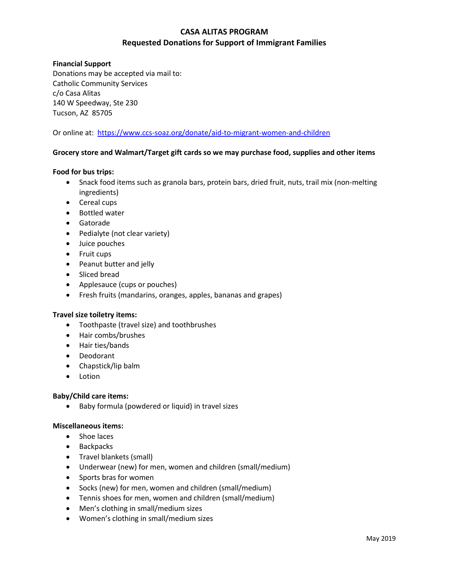# **CASA ALITAS PROGRAM Requested Donations for Support of Immigrant Families**

## **Financial Support**

Donations may be accepted via mail to: Catholic Community Services c/o Casa Alitas 140 W Speedway, Ste 230 Tucson, AZ 85705

Or online at: <https://www.ccs-soaz.org/donate/aid-to-migrant-women-and-children>

## **Grocery store and Walmart/Target gift cards so we may purchase food, supplies and other items**

## **Food for bus trips:**

- Snack food items such as granola bars, protein bars, dried fruit, nuts, trail mix (non-melting ingredients)
- Cereal cups
- Bottled water
- Gatorade
- Pedialyte (not clear variety)
- Juice pouches
- Fruit cups
- Peanut butter and jelly
- Sliced bread
- Applesauce (cups or pouches)
- Fresh fruits (mandarins, oranges, apples, bananas and grapes)

#### **Travel size toiletry items:**

- Toothpaste (travel size) and toothbrushes
- Hair combs/brushes
- Hair ties/bands
- Deodorant
- Chapstick/lip balm
- Lotion

#### **Baby/Child care items:**

• Baby formula (powdered or liquid) in travel sizes

#### **Miscellaneous items:**

- Shoe laces
- Backpacks
- Travel blankets (small)
- Underwear (new) for men, women and children (small/medium)
- Sports bras for women
- Socks (new) for men, women and children (small/medium)
- Tennis shoes for men, women and children (small/medium)
- Men's clothing in small/medium sizes
- Women's clothing in small/medium sizes